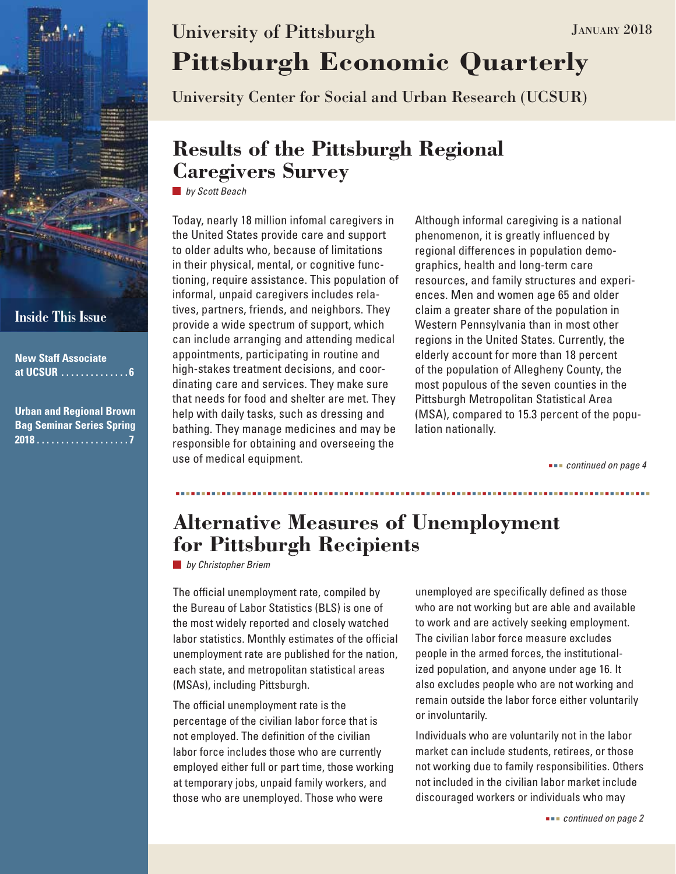

### **Inside This Issue**

| <b>New Staff Associate</b><br>at UCSUR 6                            |
|---------------------------------------------------------------------|
| <b>Urban and Regional Brown</b><br><b>Bag Seminar Series Spring</b> |

# **Pittsburgh Economic Quarterly** University of Pittsburgh JANUARY 2018

University Center for Social and Urban Research (UCSUR)

## **Results of the Pittsburgh Regional Caregivers Survey**

*by Scott Beach*

Today, nearly 18 million infomal caregivers in the United States provide care and support to older adults who, because of limitations in their physical, mental, or cognitive functioning, require assistance. This population of informal, unpaid caregivers includes relatives, partners, friends, and neighbors. They provide a wide spectrum of support, which can include arranging and attending medical appointments, participating in routine and high-stakes treatment decisions, and coordinating care and services. They make sure that needs for food and shelter are met. They help with daily tasks, such as dressing and bathing. They manage medicines and may be responsible for obtaining and overseeing the use of medical equipment.

Although informal caregiving is a national phenomenon, it is greatly influenced by regional differences in population demographics, health and long-term care resources, and family structures and experiences. Men and women age 65 and older claim a greater share of the population in Western Pennsylvania than in most other regions in the United States. Currently, the elderly account for more than 18 percent of the population of Allegheny County, the most populous of the seven counties in the Pittsburgh Metropolitan Statistical Area (MSA), compared to 15.3 percent of the population nationally.

 *continued on page 4*

## **Alternative Measures of Unemployment for Pittsburgh Recipients**

*by Christopher Briem*

The official unemployment rate, compiled by the Bureau of Labor Statistics (BLS) is one of the most widely reported and closely watched labor statistics. Monthly estimates of the official unemployment rate are published for the nation, each state, and metropolitan statistical areas (MSAs), including Pittsburgh.

The official unemployment rate is the percentage of the civilian labor force that is not employed. The definition of the civilian labor force includes those who are currently employed either full or part time, those working at temporary jobs, unpaid family workers, and those who are unemployed. Those who were

unemployed are specifically defined as those who are not working but are able and available to work and are actively seeking employment. The civilian labor force measure excludes people in the armed forces, the institutionalized population, and anyone under age 16. It also excludes people who are not working and remain outside the labor force either voluntarily or involuntarily.

Individuals who are voluntarily not in the labor market can include students, retirees, or those not working due to family responsibilities. Others not included in the civilian labor market include discouraged workers or individuals who may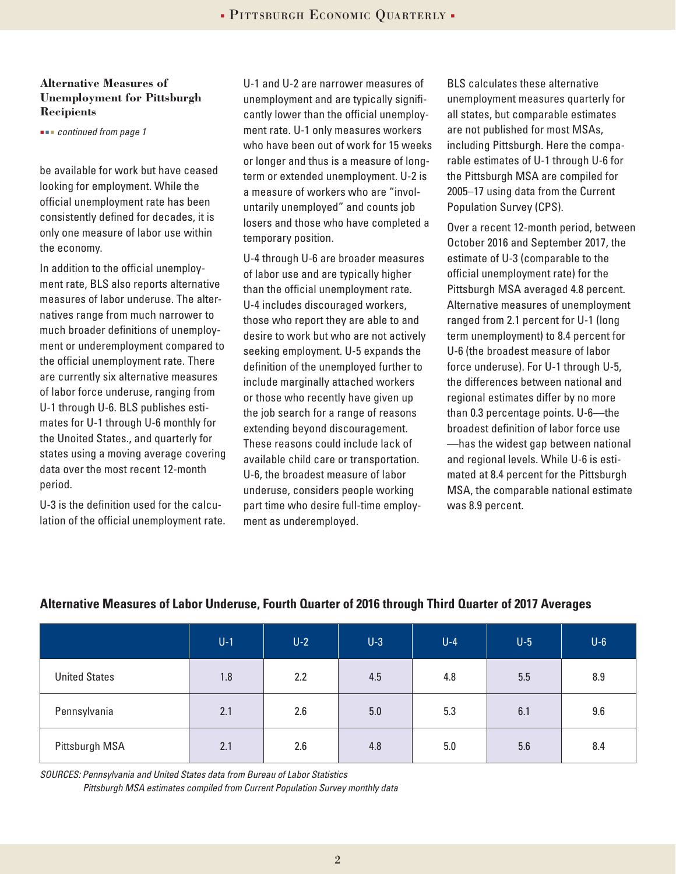#### **Alternative Measures of Unemployment for Pittsburgh Recipients**

 *continued from page 1*

be available for work but have ceased looking for employment. While the official unemployment rate has been consistently defined for decades, it is only one measure of labor use within the economy.

In addition to the official unemployment rate, BLS also reports alternative measures of labor underuse. The alternatives range from much narrower to much broader definitions of unemployment or underemployment compared to the official unemployment rate. There are currently six alternative measures of labor force underuse, ranging from U-1 through U-6. BLS publishes estimates for U-1 through U-6 monthly for the Unoited States., and quarterly for states using a moving average covering data over the most recent 12-month period.

U-3 is the definition used for the calculation of the official unemployment rate.

U-1 and U-2 are narrower measures of unemployment and are typically significantly lower than the official unemployment rate. U-1 only measures workers who have been out of work for 15 weeks or longer and thus is a measure of longterm or extended unemployment. U-2 is a measure of workers who are "involuntarily unemployed" and counts job losers and those who have completed a temporary position.

U-4 through U-6 are broader measures of labor use and are typically higher than the official unemployment rate. U-4 includes discouraged workers, those who report they are able to and desire to work but who are not actively seeking employment. U-5 expands the definition of the unemployed further to include marginally attached workers or those who recently have given up the job search for a range of reasons extending beyond discouragement. These reasons could include lack of available child care or transportation. U-6, the broadest measure of labor underuse, considers people working part time who desire full-time employment as underemployed.

BLS calculates these alternative unemployment measures quarterly for all states, but comparable estimates are not published for most MSAs, including Pittsburgh. Here the comparable estimates of U-1 through U-6 for the Pittsburgh MSA are compiled for 2005–17 using data from the Current Population Survey (CPS).

Over a recent 12-month period, between October 2016 and September 2017, the estimate of U-3 (comparable to the official unemployment rate) for the Pittsburgh MSA averaged 4.8 percent. Alternative measures of unemployment ranged from 2.1 percent for U-1 (long term unemployment) to 8.4 percent for U-6 (the broadest measure of labor force underuse). For U-1 through U-5, the differences between national and regional estimates differ by no more than 0.3 percentage points. U-6—the broadest definition of labor force use —has the widest gap between national and regional levels. While U-6 is estimated at 8.4 percent for the Pittsburgh MSA, the comparable national estimate was 8.9 percent.

|                      | $U-1$ | $U-2$ | $U-3$ | $U-4$ | $U-5$ | $U-6$ |
|----------------------|-------|-------|-------|-------|-------|-------|
| <b>United States</b> | 1.8   | 2.2   | 4.5   | 4.8   | 5.5   | 8.9   |
| Pennsylvania         | 2.1   | 2.6   | 5.0   | 5.3   | 6.1   | 9.6   |
| Pittsburgh MSA       | 2.1   | 2.6   | 4.8   | 5.0   | 5.6   | 8.4   |

#### **Alternative Measures of Labor Underuse, Fourth Quarter of 2016 through Third Quarter of 2017 Averages**

*SOURCES: Pennsylvania and United States data from Bureau of Labor Statistics Pittsburgh MSA estimates compiled from Current Population Survey monthly data*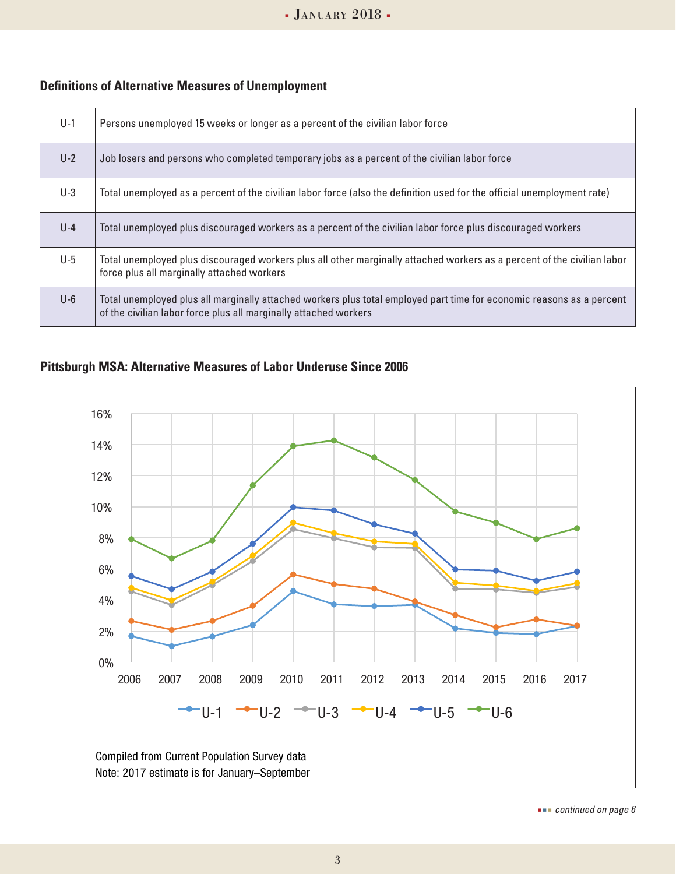#### **Definitions of Alternative Measures of Unemployment**

| $U-1$ | Persons unemployed 15 weeks or longer as a percent of the civilian labor force                                                                                                            |
|-------|-------------------------------------------------------------------------------------------------------------------------------------------------------------------------------------------|
| $U-2$ | Job losers and persons who completed temporary jobs as a percent of the civilian labor force                                                                                              |
| $U-3$ | Total unemployed as a percent of the civilian labor force (also the definition used for the official unemployment rate)                                                                   |
| $U-4$ | Total unemployed plus discouraged workers as a percent of the civilian labor force plus discouraged workers                                                                               |
| $U-5$ | Total unemployed plus discouraged workers plus all other marginally attached workers as a percent of the civilian labor<br>force plus all marginally attached workers                     |
| $U-6$ | Total unemployed plus all marginally attached workers plus total employed part time for economic reasons as a percent<br>of the civilian labor force plus all marginally attached workers |

### **Pittsburgh MSA: Alternative Measures of Labor Underuse Since 2006**



 *continued on page 6*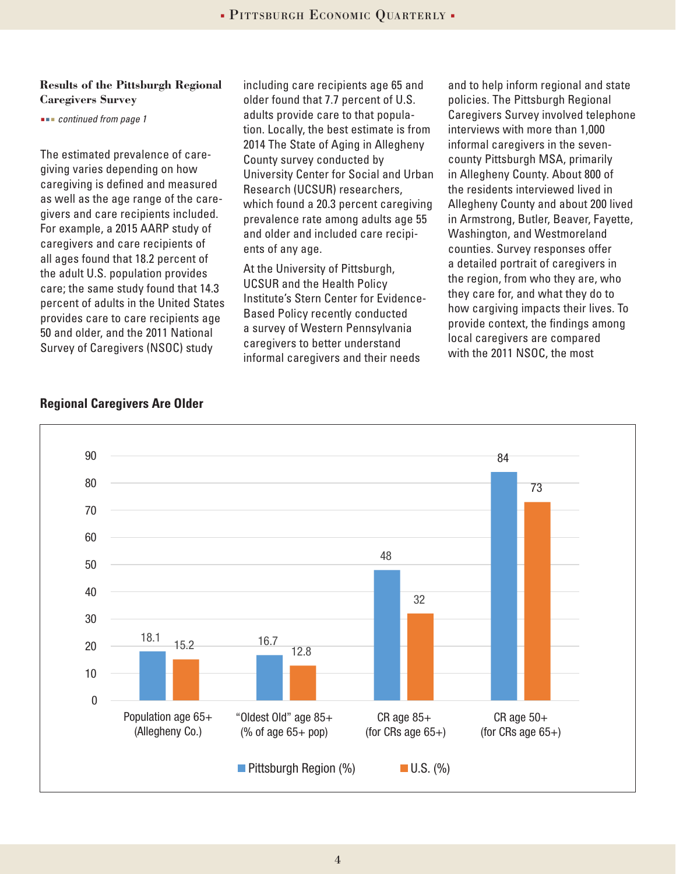#### **Results of the Pittsburgh Regional Caregivers Survey**

 *continued from page 1*

The estimated prevalence of caregiving varies depending on how caregiving is defined and measured as well as the age range of the caregivers and care recipients included. For example, a 2015 AARP study of caregivers and care recipients of all ages found that 18.2 percent of the adult U.S. population provides care; the same study found that 14.3 percent of adults in the United States provides care to care recipients age 50 and older, and the 2011 National Survey of Caregivers (NSOC) study

including care recipients age 65 and older found that 7.7 percent of U.S. adults provide care to that population. Locally, the best estimate is from 2014 The State of Aging in Allegheny County survey conducted by University Center for Social and Urban Research (UCSUR) researchers, which found a 20.3 percent caregiving prevalence rate among adults age 55 and older and included care recipients of any age.

At the University of Pittsburgh, UCSUR and the Health Policy Institute's Stern Center for Evidence-Based Policy recently conducted a survey of Western Pennsylvania caregivers to better understand informal caregivers and their needs

and to help inform regional and state policies. The Pittsburgh Regional Caregivers Survey involved telephone interviews with more than 1,000 informal caregivers in the sevencounty Pittsburgh MSA, primarily in Allegheny County. About 800 of the residents interviewed lived in Allegheny County and about 200 lived in Armstrong, Butler, Beaver, Fayette, Washington, and Westmoreland counties. Survey responses offer a detailed portrait of caregivers in the region, from who they are, who they care for, and what they do to how cargiving impacts their lives. To provide context, the findings among local caregivers are compared with the 2011 NSOC, the most



#### **Regional Caregivers Are Older**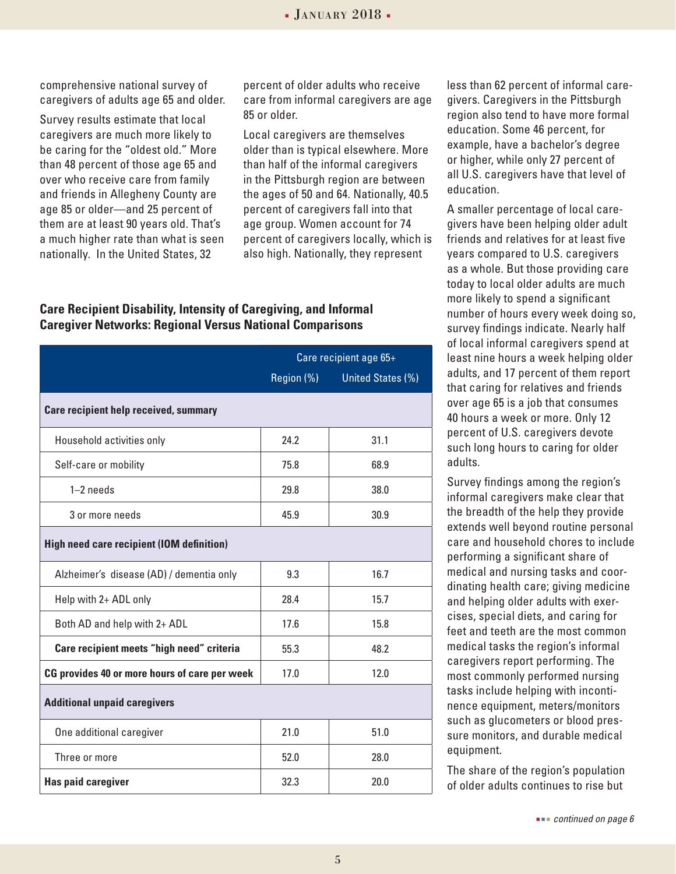comprehensive national survey of caregivers of adults age 65 and older.

Survey results estimate that local caregivers are much more likely to be caring for the "oldest old." More than 48 percent of those age 65 and over who receive care from family and friends in Allegheny County are age 85 or older—and 25 percent of them are at least 90 years old. That's a much higher rate than what is seen nationally. In the United States, 32

percent of older adults who receive care from informal caregivers are age 85 or older.

Local caregivers are themselves older than is typical elsewhere. More than half of the informal caregivers in the Pittsburgh region are between the ages of 50 and 64. Nationally, 40.5 percent of caregivers fall into that age group. Women account for 74 percent of caregivers locally, which is also high. Nationally, they represent

#### **Care Recipient Disability, Intensity of Caregiving, and Informal Caregiver Networks: Regional Versus National Comparisons**

|                                                  | Care recipient age 65+ |                   |  |  |  |  |
|--------------------------------------------------|------------------------|-------------------|--|--|--|--|
|                                                  | Region (%)             | United States (%) |  |  |  |  |
| <b>Care recipient help received, summary</b>     |                        |                   |  |  |  |  |
| Household activities only                        | 24.2                   | 31.1              |  |  |  |  |
| Self-care or mobility                            | 75.8                   | 68.9              |  |  |  |  |
| $1-2$ needs                                      | 29.8                   | 38.0              |  |  |  |  |
| 3 or more needs                                  | 45.9                   | 30.9              |  |  |  |  |
| <b>High need care recipient (IOM definition)</b> |                        |                   |  |  |  |  |
| Alzheimer's disease (AD) / dementia only         | 9.3                    | 16.7              |  |  |  |  |
| Help with 2+ ADL only                            | 28.4                   | 15.7              |  |  |  |  |
| Both AD and help with 2+ ADL                     | 17.6                   | 15.8              |  |  |  |  |
| Care recipient meets "high need" criteria        | 55.3                   | 48.2              |  |  |  |  |
| CG provides 40 or more hours of care per week    | 17.0                   | 12.0              |  |  |  |  |
| <b>Additional unpaid caregivers</b>              |                        |                   |  |  |  |  |
| One additional caregiver                         | 21.0                   | 51.0              |  |  |  |  |
| Three or more                                    | 52.0                   | 28.0              |  |  |  |  |
| <b>Has paid caregiver</b>                        | 32.3                   | 20.0              |  |  |  |  |

less than 62 percent of informal caregivers. Caregivers in the Pittsburgh region also tend to have more formal education. Some 46 percent, for example, have a bachelor's degree or higher, while only 27 percent of all U.S. caregivers have that level of education.

A smaller percentage of local caregivers have been helping older adult friends and relatives for at least five years compared to U.S. caregivers as a whole. But those providing care today to local older adults are much more likely to spend a significant number of hours every week doing so, survey findings indicate. Nearly half of local informal caregivers spend at least nine hours a week helping older adults, and 17 percent of them report that caring for relatives and friends over age 65 is a job that consumes 40 hours a week or more. Only 12 percent of U.S. caregivers devote such long hours to caring for older adults.

Survey findings among the region's informal caregivers make clear that the breadth of the help they provide extends well beyond routine personal care and household chores to include performing a significant share of medical and nursing tasks and coordinating health care; giving medicine and helping older adults with exercises, special diets, and caring for feet and teeth are the most common medical tasks the region's informal caregivers report performing. The most commonly performed nursing tasks include helping with incontinence equipment, meters/monitors such as glucometers or blood pressure monitors, and durable medical equipment.

The share of the region's population of older adults continues to rise but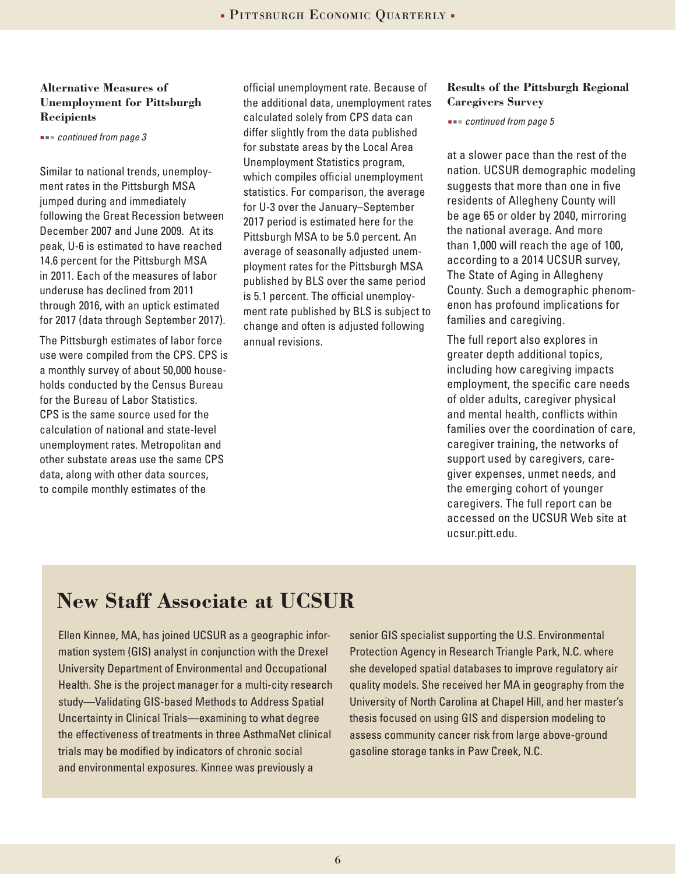#### **Alternative Measures of Unemployment for Pittsburgh Recipients**

 *continued from page 3*

Similar to national trends, unemployment rates in the Pittsburgh MSA jumped during and immediately following the Great Recession between December 2007 and June 2009. At its peak, U-6 is estimated to have reached 14.6 percent for the Pittsburgh MSA in 2011. Each of the measures of labor underuse has declined from 2011 through 2016, with an uptick estimated for 2017 (data through September 2017).

The Pittsburgh estimates of labor force use were compiled from the CPS. CPS is a monthly survey of about 50,000 households conducted by the Census Bureau for the Bureau of Labor Statistics. CPS is the same source used for the calculation of national and state-level unemployment rates. Metropolitan and other substate areas use the same CPS data, along with other data sources, to compile monthly estimates of the

official unemployment rate. Because of the additional data, unemployment rates calculated solely from CPS data can differ slightly from the data published for substate areas by the Local Area Unemployment Statistics program, which compiles official unemployment statistics. For comparison, the average for U-3 over the January–September 2017 period is estimated here for the Pittsburgh MSA to be 5.0 percent. An average of seasonally adjusted unemployment rates for the Pittsburgh MSA published by BLS over the same period is 5.1 percent. The official unemployment rate published by BLS is subject to change and often is adjusted following annual revisions.

#### **Results of the Pittsburgh Regional Caregivers Survey**

 *continued from page 5*

at a slower pace than the rest of the nation. UCSUR demographic modeling suggests that more than one in five residents of Allegheny County will be age 65 or older by 2040, mirroring the national average. And more than 1,000 will reach the age of 100, according to a 2014 UCSUR survey, The State of Aging in Allegheny County. Such a demographic phenomenon has profound implications for families and caregiving.

The full report also explores in greater depth additional topics, including how caregiving impacts employment, the specific care needs of older adults, caregiver physical and mental health, conflicts within families over the coordination of care, caregiver training, the networks of support used by caregivers, caregiver expenses, unmet needs, and the emerging cohort of younger caregivers. The full report can be accessed on the UCSUR Web site at ucsur.pitt.edu.

## **New Staff Associate at UCSUR**

Ellen Kinnee, MA, has joined UCSUR as a geographic information system (GIS) analyst in conjunction with the Drexel University Department of Environmental and Occupational Health. She is the project manager for a multi-city research study—Validating GIS-based Methods to Address Spatial Uncertainty in Clinical Trials—examining to what degree the effectiveness of treatments in three AsthmaNet clinical trials may be modified by indicators of chronic social and environmental exposures. Kinnee was previously a

senior GIS specialist supporting the U.S. Environmental Protection Agency in Research Triangle Park, N.C. where she developed spatial databases to improve regulatory air quality models. She received her MA in geography from the University of North Carolina at Chapel Hill, and her master's thesis focused on using GIS and dispersion modeling to assess community cancer risk from large above-ground gasoline storage tanks in Paw Creek, N.C.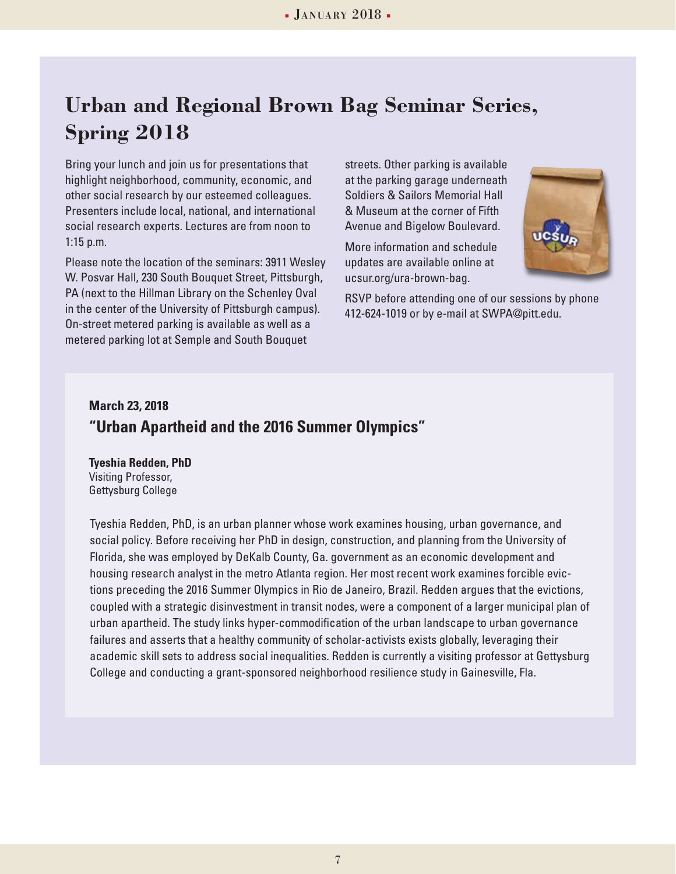## **Urban and Regional Brown Bag Seminar Series, Spring 2018**

Bring your lunch and join us for presentations that highlight neighborhood, community, economic, and other social research by our esteemed colleagues. Presenters include local, national, and international social research experts. Lectures are from noon to 1:15 p.m.

Please note the location of the seminars: 3911 Wesley W. Posvar Hall, 230 South Bouquet Street, Pittsburgh, PA (next to the Hillman Library on the Schenley Oval in the center of the University of Pittsburgh campus). On-street metered parking is available as well as a metered parking lot at Semple and South Bouquet

streets. Other parking is available at the parking garage underneath Soldiers & Sailors Memorial Hall & Museum at the corner of Fifth Avenue and Bigelow Boulevard.

More information and schedule updates are available online at ucsur.org/ura-brown-bag.



RSVP before attending one of our sessions by phone 412-624-1019 or by e-mail at SWPA@pitt.edu.

### **March 23, 2018 "Urban Apartheid and the 2016 Summer Olympics"**

**Tyeshia Redden, PhD** Visiting Professor, Gettysburg College

Tyeshia Redden, PhD, is an urban planner whose work examines housing, urban governance, and social policy. Before receiving her PhD in design, construction, and planning from the University of Florida, she was employed by DeKalb County, Ga. government as an economic development and housing research analyst in the metro Atlanta region. Her most recent work examines forcible evictions preceding the 2016 Summer Olympics in Rio de Janeiro, Brazil. Redden argues that the evictions, coupled with a strategic disinvestment in transit nodes, were a component of a larger municipal plan of urban apartheid. The study links hyper-commodification of the urban landscape to urban governance failures and asserts that a healthy community of scholar-activists exists globally, leveraging their academic skill sets to address social inequalities. Redden is currently a visiting professor at Gettysburg College and conducting a grant-sponsored neighborhood resilience study in Gainesville, Fla.